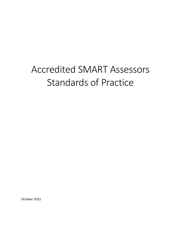# Accredited SMART Assessors Standards of Practice

October 2021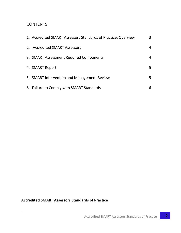# **CONTENTS**

| 1. Accredited SMART Assessors Standards of Practice: Overview | 3 |
|---------------------------------------------------------------|---|
| 2. Accredited SMART Assessors                                 | 4 |
| 3. SMART Assessment Required Components                       | 4 |
| 4. SMART Report                                               | 5 |
| 5. SMART Intervention and Management Review                   | 5 |
| 6. Failure to Comply with SMART Standards                     | 6 |

# **Accredited SMART Assessors Standards of Practice**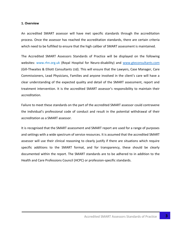#### **1. Overview**

An accredited SMART assessor will have met specific standards through the accreditation process. Once the assessor has reached the accreditation standards, there are certain criteria which need to be fulfilled to ensure that the high caliber of SMART assessment is maintained.

The Accredited SMART Assessors Standards of Practice will be displayed on the following websites: www.rhn.org.uk (Royal Hospital for Neuro-disability) and [www.gteconsultants.com](http://www.gteconsultants.com/) (Gill-Thwaites & Elliott Consultants Ltd). This will ensure that the Lawyers, Case Manager, Care Commissioners, Lead Physicians, Families and anyone involved in the client's care will have a clear understanding of the expected quality and detail of the SMART assessment, report and treatment intervention. It is the accredited SMART assessor's responsibility to maintain their accreditation.

Failure to meet these standards on the part of the accredited SMART assessor could contravene the individual's professional code of conduct and result in the potential withdrawal of their accreditation as a SMART assessor.

It is recognised that the SMART assessment and SMART report are used for a range of purposes and settings with a wide spectrum of service resources. It is assumed that the accredited SMART assessor will use their clinical reasoning to clearly justify if there are situations which require specific additions to the SMART format, and for transparency, these should be clearly documented within the report. The SMART standards are to be adhered to in addition to the Health and Care Professions Council (HCPC) or profession-specific standards.

 $\overline{\mathbf{3}}$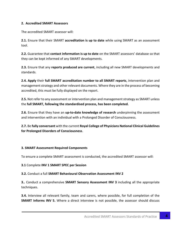## **2. Accredited SMART Assessors**

The accredited SMART assessor will:

**2.1.** Ensure that their SMART **accreditation is up to date** while using SMART as an assessment tool.

**2.2.** Guarantee that **contact information is up to date** on the SMART assessors' database so that they can be kept informed of any SMART developments.

**2.3.** Ensure that any **reports produced are current**, including all new SMART developments and standards.

**2.4. Apply** their **full SMART accreditation number to all SMART reports**, intervention plan and management strategy and other relevant documents. Where they are in the process of becoming accredited, this must be fully displayed on the report.

**2.5.** Not refer to any assessment or intervention plan and management strategy as SMART unless the **full SMART, following the standardised process, has been completed.** 

**2.6.** Ensure that they have an **up-to-date knowledge of research** underpinning the assessment and intervention with an individual with a Prolonged Disorder of Consciousness.

**2.7.** Be **fully conversant** with the current **Royal College of Physicians National Clinical Guidelines for Prolonged Disorders of Consciousness**.

#### **3. SMART Assessment Required Components**

To ensure a complete SMART assessment is conducted, the accredited SMART assessor will:

#### **3.1** Complete **INV 1 SMART SPEC per Session**

#### **3.2.** Conduct a full **SMART Behavioural Observation Assessment INV 2**

**3..** Conduct a comprehensive **SMART Sensory Assessment INV 3** including all the appropriate techniques.

**3.4.** Interview all relevant family, team and carers, where possible, for full completion of the **SMART Informs INV 5.** Where a direct interview is not possible, the assessor should discuss

4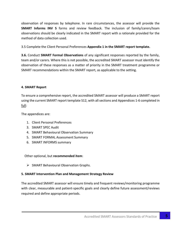observation of responses by telephone. In rare circumstances, the assessor will provide the **SMART Informs INV 5** forms and review feedback. The inclusion of family/carers/team observations should be clearly indicated in the SMART report with a rationale provided for the method of data collection used.

3.5 Complete the Client Personal Preferences **Appendix 1 in the SMART report template.**

**3.6.** Conduct **SMART Formal Observations** of any significant responses reported by the family, team and/or carers. Where this is not possible, the accredited SMART assessor must identify the observation of these responses as a matter of priority in the SMART treatment programme or SMART recommendations within the SMART report, as applicable to the setting.

## **4. SMART Report**

To ensure a comprehensive report, the accredited SMART assessor will produce a SMART report using the current SMART report template S12, with all sections and Appendices 1-6 completed in full:

The appendices are:

- 1. Client Personal Preferences
- 3. SMART SPEC Audit
- 4. SMART Behavioural Observation Summary
- 5. SMART FORMAL Assessment Summary
- 6. SMART INFORMS summary

Other optional, but **recommended item**:

➢ SMART Behavioural Observation Graphs.

# **5. SMART Intervention Plan and Management Strategy Review**

The accredited SMART assessor will ensure timely and frequent reviews/monitoring programme with clear, measurable and patient-specific goals and clearly define future assessment/reviews required and define appropriate periods.